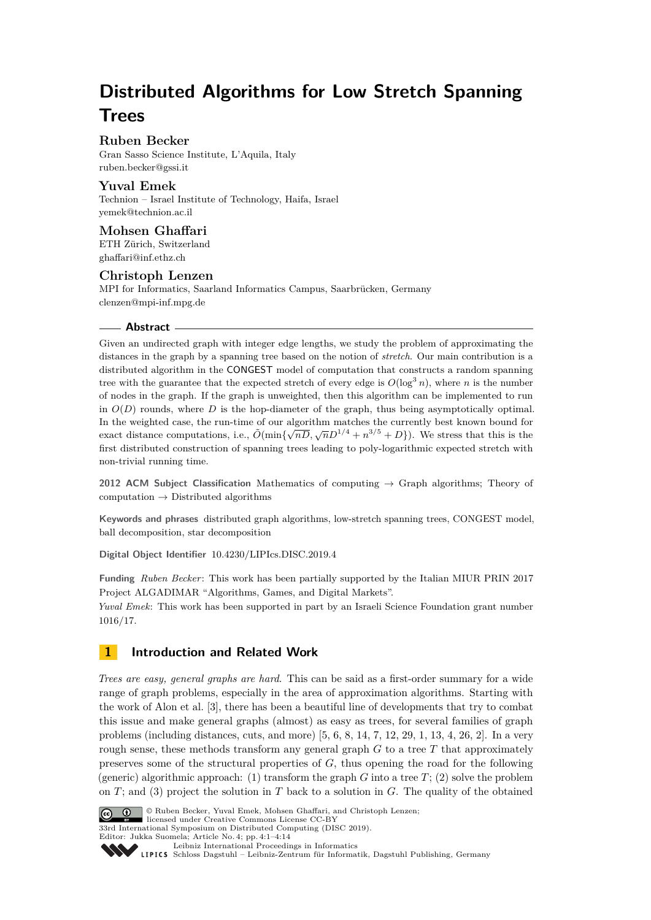# **Distributed Algorithms for Low Stretch Spanning Trees**

## **Ruben Becker**

Gran Sasso Science Institute, L'Aquila, Italy [ruben.becker@gssi.it](mailto:ruben.becker@gssi.it)

**Yuval Emek** Technion – Israel Institute of Technology, Haifa, Israel [yemek@technion.ac.il](mailto:yemek@technion.ac.il)

**Mohsen Ghaffari** ETH Zürich, Switzerland [ghaffari@inf.ethz.ch](mailto:ghaffari@inf.ethz.ch)

## **Christoph Lenzen**

MPI for Informatics, Saarland Informatics Campus, Saarbrücken, Germany [clenzen@mpi-inf.mpg.de](mailto:clenzen@mpi-inf.mpg.de)

## **Abstract**

Given an undirected graph with integer edge lengths, we study the problem of approximating the distances in the graph by a spanning tree based on the notion of *stretch*. Our main contribution is a distributed algorithm in the CONGEST model of computation that constructs a random spanning tree with the guarantee that the expected stretch of every edge is  $O(\log^3 n)$ , where *n* is the number of nodes in the graph. If the graph is unweighted, then this algorithm can be implemented to run in  $O(D)$  rounds, where  $D$  is the hop-diameter of the graph, thus being asymptotically optimal. In the weighted case, the run-time of our algorithm matches the currently best known bound for exact distance computations, i.e.,  $\tilde{O}(\min{\{\sqrt{nD}, \sqrt{n}D^{1/4} + n^{3/5} + D\}})$ . We stress that this is the first distributed construction of spanning trees leading to poly-logarithmic expected stretch with non-trivial running time.

**2012 ACM Subject Classification** Mathematics of computing → Graph algorithms; Theory of computation  $\rightarrow$  Distributed algorithms

**Keywords and phrases** distributed graph algorithms, low-stretch spanning trees, CONGEST model, ball decomposition, star decomposition

**Digital Object Identifier** [10.4230/LIPIcs.DISC.2019.4](https://doi.org/10.4230/LIPIcs.DISC.2019.4)

**Funding** *Ruben Becker*: This work has been partially supported by the Italian MIUR PRIN 2017 Project ALGADIMAR "Algorithms, Games, and Digital Markets".

*Yuval Emek*: This work has been supported in part by an Israeli Science Foundation grant number 1016/17.

# **1 Introduction and Related Work**

*Trees are easy, general graphs are hard*. This can be said as a first-order summary for a wide range of graph problems, especially in the area of approximation algorithms. Starting with the work of Alon et al. [\[3\]](#page-11-0), there has been a beautiful line of developments that try to combat this issue and make general graphs (almost) as easy as trees, for several families of graph problems (including distances, cuts, and more)  $[5, 6, 8, 14, 7, 12, 29, 1, 13, 4, 26, 2]$  $[5, 6, 8, 14, 7, 12, 29, 1, 13, 4, 26, 2]$  $[5, 6, 8, 14, 7, 12, 29, 1, 13, 4, 26, 2]$  $[5, 6, 8, 14, 7, 12, 29, 1, 13, 4, 26, 2]$  $[5, 6, 8, 14, 7, 12, 29, 1, 13, 4, 26, 2]$  $[5, 6, 8, 14, 7, 12, 29, 1, 13, 4, 26, 2]$  $[5, 6, 8, 14, 7, 12, 29, 1, 13, 4, 26, 2]$  $[5, 6, 8, 14, 7, 12, 29, 1, 13, 4, 26, 2]$  $[5, 6, 8, 14, 7, 12, 29, 1, 13, 4, 26, 2]$  $[5, 6, 8, 14, 7, 12, 29, 1, 13, 4, 26, 2]$  $[5, 6, 8, 14, 7, 12, 29, 1, 13, 4, 26, 2]$  $[5, 6, 8, 14, 7, 12, 29, 1, 13, 4, 26, 2]$  $[5, 6, 8, 14, 7, 12, 29, 1, 13, 4, 26, 2]$  $[5, 6, 8, 14, 7, 12, 29, 1, 13, 4, 26, 2]$  $[5, 6, 8, 14, 7, 12, 29, 1, 13, 4, 26, 2]$  $[5, 6, 8, 14, 7, 12, 29, 1, 13, 4, 26, 2]$  $[5, 6, 8, 14, 7, 12, 29, 1, 13, 4, 26, 2]$  $[5, 6, 8, 14, 7, 12, 29, 1, 13, 4, 26, 2]$  $[5, 6, 8, 14, 7, 12, 29, 1, 13, 4, 26, 2]$  $[5, 6, 8, 14, 7, 12, 29, 1, 13, 4, 26, 2]$  $[5, 6, 8, 14, 7, 12, 29, 1, 13, 4, 26, 2]$  $[5, 6, 8, 14, 7, 12, 29, 1, 13, 4, 26, 2]$  $[5, 6, 8, 14, 7, 12, 29, 1, 13, 4, 26, 2]$ . In a very rough sense, these methods transform any general graph  $G$  to a tree  $T$  that approximately preserves some of the structural properties of *G*, thus opening the road for the following (generic) algorithmic approach: (1) transform the graph  $G$  into a tree  $T$ ; (2) solve the problem on *T*; and (3) project the solution in *T* back to a solution in *G*. The quality of the obtained



© Ruben Becker, Yuval Emek, Mohsen Ghaffari, and Christoph Lenzen;

licensed under Creative Commons License CC-BY 33rd International Symposium on Distributed Computing (DISC 2019).

[Leibniz International Proceedings in Informatics](https://www.dagstuhl.de/lipics/)

[Schloss Dagstuhl – Leibniz-Zentrum für Informatik, Dagstuhl Publishing, Germany](https://www.dagstuhl.de)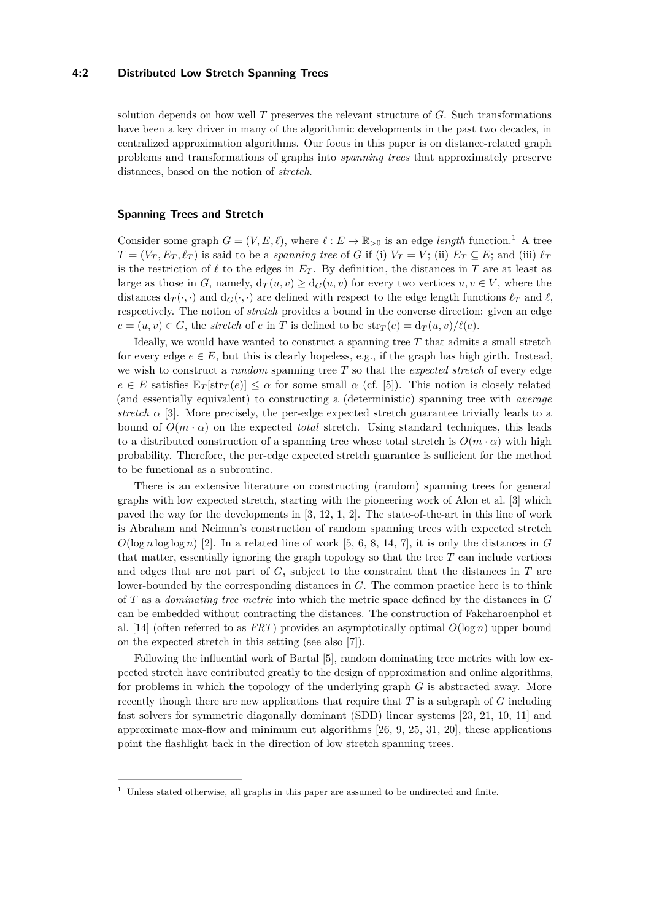#### **4:2 Distributed Low Stretch Spanning Trees**

solution depends on how well *T* preserves the relevant structure of *G*. Such transformations have been a key driver in many of the algorithmic developments in the past two decades, in centralized approximation algorithms. Our focus in this paper is on distance-related graph problems and transformations of graphs into *spanning trees* that approximately preserve distances, based on the notion of *stretch*.

#### **Spanning Trees and Stretch**

Consider some graph  $G = (V, E, \ell)$ , where  $\ell : E \to \mathbb{R}_{>0}$  is an edge *length* function.<sup>[1](#page-1-0)</sup> A tree  $T = (V_T, E_T, \ell_T)$  is said to be a *spanning tree* of *G* if (i)  $V_T = V$ ; (ii)  $E_T \subseteq E$ ; and (iii)  $\ell_T$ is the restriction of  $\ell$  to the edges in  $E_T$ . By definition, the distances in  $T$  are at least as large as those in *G*, namely,  $d_T(u, v) \geq d_G(u, v)$  for every two vertices  $u, v \in V$ , where the distances  $d_T(\cdot, \cdot)$  and  $d_G(\cdot, \cdot)$  are defined with respect to the edge length functions  $\ell_T$  and  $\ell$ , respectively. The notion of *stretch* provides a bound in the converse direction: given an edge  $e = (u, v) \in G$ , the *stretch* of *e* in *T* is defined to be  $\text{str}_T(e) = d_T(u, v)/\ell(e)$ .

Ideally, we would have wanted to construct a spanning tree *T* that admits a small stretch for every edge  $e \in E$ , but this is clearly hopeless, e.g., if the graph has high girth. Instead, we wish to construct a *random* spanning tree *T* so that the *expected stretch* of every edge  $e \in E$  satisfies  $\mathbb{E}_T[\text{str}_T(e)] \leq \alpha$  for some small  $\alpha$  (cf. [\[5\]](#page-12-0)). This notion is closely related (and essentially equivalent) to constructing a (deterministic) spanning tree with *average stretch*  $\alpha$  [\[3\]](#page-11-0). More precisely, the per-edge expected stretch guarantee trivially leads to a bound of  $O(m \cdot \alpha)$  on the expected *total* stretch. Using standard techniques, this leads to a distributed construction of a spanning tree whose total stretch is  $O(m \cdot \alpha)$  with high probability. Therefore, the per-edge expected stretch guarantee is sufficient for the method to be functional as a subroutine.

There is an extensive literature on constructing (random) spanning trees for general graphs with low expected stretch, starting with the pioneering work of Alon et al. [\[3\]](#page-11-0) which paved the way for the developments in [\[3,](#page-11-0) [12,](#page-12-5) [1,](#page-11-1) [2\]](#page-11-2). The state-of-the-art in this line of work is Abraham and Neiman's construction of random spanning trees with expected stretch  $O(\log n \log \log n)$  [\[2\]](#page-11-2). In a related line of work [\[5,](#page-12-0) [6,](#page-12-1) [8,](#page-12-2) [14,](#page-12-3) [7\]](#page-12-4), it is only the distances in *G* that matter, essentially ignoring the graph topology so that the tree *T* can include vertices and edges that are not part of *G*, subject to the constraint that the distances in *T* are lower-bounded by the corresponding distances in *G*. The common practice here is to think of *T* as a *dominating tree metric* into which the metric space defined by the distances in *G* can be embedded without contracting the distances. The construction of Fakcharoenphol et al. [\[14\]](#page-12-3) (often referred to as *FRT*) provides an asymptotically optimal  $O(\log n)$  upper bound on the expected stretch in this setting (see also [\[7\]](#page-12-4)).

Following the influential work of Bartal [\[5\]](#page-12-0), random dominating tree metrics with low expected stretch have contributed greatly to the design of approximation and online algorithms, for problems in which the topology of the underlying graph *G* is abstracted away. More recently though there are new applications that require that *T* is a subgraph of *G* including fast solvers for symmetric diagonally dominant (SDD) linear systems [\[23,](#page-13-3) [21,](#page-12-8) [10,](#page-12-9) [11\]](#page-12-10) and approximate max-flow and minimum cut algorithms [\[26,](#page-13-1) [9,](#page-12-11) [25,](#page-13-4) [31,](#page-13-5) [20\]](#page-12-12), these applications point the flashlight back in the direction of low stretch spanning trees.

<span id="page-1-0"></span> $^{\rm 1}$  Unless stated otherwise, all graphs in this paper are assumed to be undirected and finite.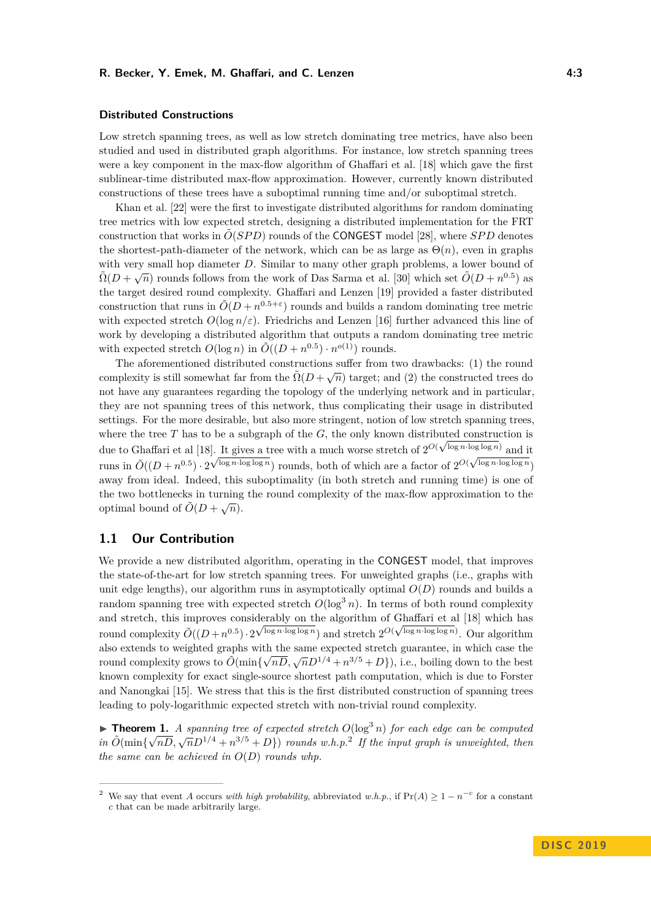#### **Distributed Constructions**

Low stretch spanning trees, as well as low stretch dominating tree metrics, have also been studied and used in distributed graph algorithms. For instance, low stretch spanning trees were a key component in the max-flow algorithm of Ghaffari et al. [\[18\]](#page-12-13) which gave the first sublinear-time distributed max-flow approximation. However, currently known distributed constructions of these trees have a suboptimal running time and/or suboptimal stretch.

Khan et al. [\[22\]](#page-12-14) were the first to investigate distributed algorithms for random dominating tree metrics with low expected stretch, designing a distributed implementation for the FRT construction that works in  $\tilde{O}(SPD)$  rounds of the **CONGEST** model [\[28\]](#page-13-6), where *SPD* denotes the shortest-path-diameter of the network, which can be as large as  $\Theta(n)$ , even in graphs with very small hop diameter *D*. Similar to many other graph problems, a lower bound of  $\tilde{\Omega}(D+\sqrt{n})$  rounds follows from the work of Das Sarma et al. [\[30\]](#page-13-7) which set  $\tilde{O}(D+n^{0.5})$  as the target desired round complexity. Ghaffari and Lenzen [\[19\]](#page-12-15) provided a faster distributed construction that runs in  $\tilde{O}(D + n^{0.5+\varepsilon})$  rounds and builds a random dominating tree metric with expected stretch  $O(\log n/\varepsilon)$ . Friedrichs and Lenzen [\[16\]](#page-12-16) further advanced this line of work by developing a distributed algorithm that outputs a random dominating tree metric with expected stretch  $O(\log n)$  in  $\tilde{O}((D+n^{0.5}) \cdot n^{o(1)})$  rounds.

The aforementioned distributed constructions suffer from two drawbacks: (1) the round complexity is still somewhat far from the  $\tilde{\Omega}(D + \sqrt{n})$  target; and (2) the constructed trees do not have any guarantees regarding the topology of the underlying network and in particular, they are not spanning trees of this network, thus complicating their usage in distributed settings. For the more desirable, but also more stringent, notion of low stretch spanning trees, where the tree  $T$  has to be a subgraph of the  $G$ , the only known distributed construction is due to Ghaffari et al [\[18\]](#page-12-13). It gives a tree with a much worse stretch of  $2^{O(\sqrt{\log n} \cdot \log \log n)}$  and it runs in  $\tilde{O}((D+n^{0.5}) \cdot 2^{\sqrt{\log n \cdot \log \log n}})$  rounds, both of which are a factor of  $2^{O(\sqrt{\log n \cdot \log \log n}})$ away from ideal. Indeed, this suboptimality (in both stretch and running time) is one of the two bottlenecks in turning the round complexity of the max-flow approximation to the optimal bound of  $\tilde{O}(D + \sqrt{n}).$ 

## **1.1 Our Contribution**

We provide a new distributed algorithm, operating in the CONGEST model, that improves the state-of-the-art for low stretch spanning trees. For unweighted graphs (i.e., graphs with unit edge lengths), our algorithm runs in asymptotically optimal  $O(D)$  rounds and builds a random spanning tree with expected stretch  $O(\log^3 n)$ . In terms of both round complexity and stretch, this improves considerably on the algorithm of Ghaffari et al [\[18\]](#page-12-13) which has round complexity  $\tilde{O}((D+n^{0.5}) \cdot 2^{\sqrt{\log n \cdot \log \log n}})$  and stretch  $2^{O(\sqrt{\log n \cdot \log \log n})}$ . Our algorithm also extends to weighted graphs with the same expected stretch guarantee, in which case the round complexity grows to  $\tilde{O}(\min{\{\sqrt{nD}, \sqrt{n}D^{1/4} + n^{3/5} + D\}})$ , i.e., boiling down to the best known complexity for exact single-source shortest path computation, which is due to Forster and Nanongkai [\[15\]](#page-12-17). We stress that this is the first distributed construction of spanning trees leading to poly-logarithmic expected stretch with non-trivial round complexity.

<span id="page-2-1"></span>**► Theorem 1.** *A spanning tree of expected stretch*  $O(\log^3 n)$  *for each edge can be computed in*  $\tilde{O}(\min{\{\sqrt{nD}, \sqrt{nD^{1/4} + n^{3/5} + D\}}})$  *rounds w.h.p.*<sup>[2](#page-2-0)</sup> *If the input graph is unweighted, then the same can be achieved in*  $O(D)$  *rounds whp.* 

<span id="page-2-0"></span><sup>&</sup>lt;sup>2</sup> We say that event *A* occurs *with high probability*, abbreviated *w.h.p.*, if  $Pr(A) \ge 1 - n^{-c}$  for a constant *c* that can be made arbitrarily large.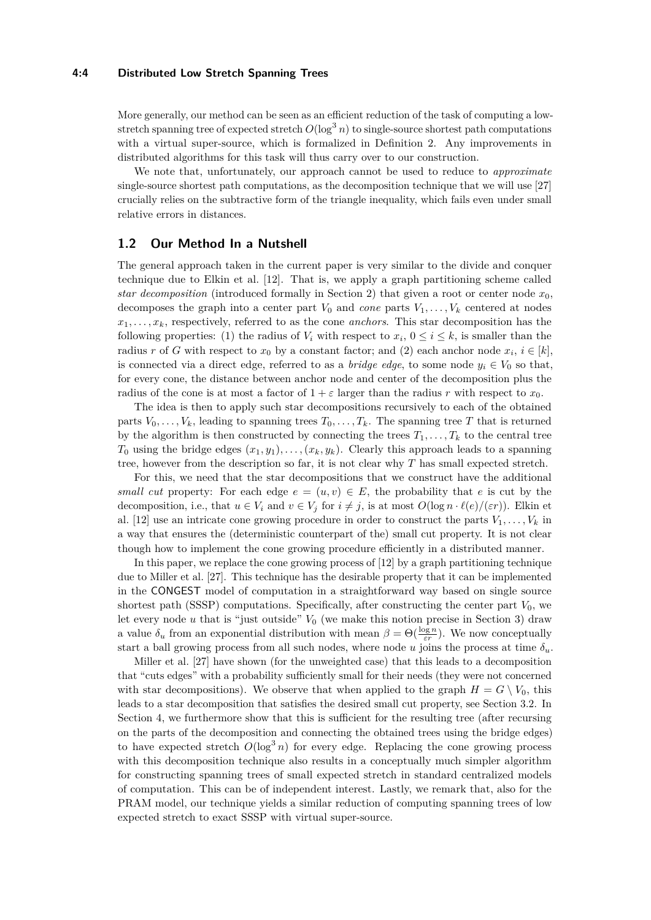#### **4:4 Distributed Low Stretch Spanning Trees**

More generally, our method can be seen as an efficient reduction of the task of computing a lowstretch spanning tree of expected stretch  $O(\log^3 n)$  to single-source shortest path computations with a virtual super-source, which is formalized in Definition [2.](#page-4-0) Any improvements in distributed algorithms for this task will thus carry over to our construction.

We note that, unfortunately, our approach cannot be used to reduce to *approximate* single-source shortest path computations, as the decomposition technique that we will use [\[27\]](#page-13-8) crucially relies on the subtractive form of the triangle inequality, which fails even under small relative errors in distances.

## **1.2 Our Method In a Nutshell**

The general approach taken in the current paper is very similar to the divide and conquer technique due to Elkin et al. [\[12\]](#page-12-5). That is, we apply a graph partitioning scheme called *star decomposition* (introduced formally in Section [2\)](#page-4-1) that given a root or center node *x*0, decomposes the graph into a center part  $V_0$  and *cone* parts  $V_1, \ldots, V_k$  centered at nodes  $x_1, \ldots, x_k$ , respectively, referred to as the cone *anchors*. This star decomposition has the following properties: (1) the radius of  $V_i$  with respect to  $x_i$ ,  $0 \le i \le k$ , is smaller than the radius *r* of *G* with respect to  $x_0$  by a constant factor; and (2) each anchor node  $x_i$ ,  $i \in [k]$ , is connected via a direct edge, referred to as a *bridge edge*, to some node  $y_i \in V_0$  so that, for every cone, the distance between anchor node and center of the decomposition plus the radius of the cone is at most a factor of  $1 + \varepsilon$  larger than the radius *r* with respect to  $x_0$ .

The idea is then to apply such star decompositions recursively to each of the obtained parts  $V_0, \ldots, V_k$ , leading to spanning trees  $T_0, \ldots, T_k$ . The spanning tree *T* that is returned by the algorithm is then constructed by connecting the trees  $T_1, \ldots, T_k$  to the central tree *T*<sub>0</sub> using the bridge edges  $(x_1, y_1), \ldots, (x_k, y_k)$ . Clearly this approach leads to a spanning tree, however from the description so far, it is not clear why *T* has small expected stretch.

For this, we need that the star decompositions that we construct have the additional *small cut* property: For each edge  $e = (u, v) \in E$ , the probability that *e* is cut by the decomposition, i.e., that  $u \in V_i$  and  $v \in V_j$  for  $i \neq j$ , is at most  $O(\log n \cdot \ell(e)/(\varepsilon r))$ . Elkin et al. [\[12\]](#page-12-5) use an intricate cone growing procedure in order to construct the parts  $V_1, \ldots, V_k$  in a way that ensures the (deterministic counterpart of the) small cut property. It is not clear though how to implement the cone growing procedure efficiently in a distributed manner.

In this paper, we replace the cone growing process of [\[12\]](#page-12-5) by a graph partitioning technique due to Miller et al. [\[27\]](#page-13-8). This technique has the desirable property that it can be implemented in the CONGEST model of computation in a straightforward way based on single source shortest path (SSSP) computations. Specifically, after constructing the center part  $V_0$ , we let every node  $u$  that is "just outside"  $V_0$  (we make this notion precise in Section [3\)](#page-6-0) draw a value  $\delta_u$  from an exponential distribution with mean  $\beta = \Theta(\frac{\log n}{\varepsilon r})$ . We now conceptually start a ball growing process from all such nodes, where node *u* joins the process at time  $\delta_u$ .

Miller et al. [\[27\]](#page-13-8) have shown (for the unweighted case) that this leads to a decomposition that "cuts edges" with a probability sufficiently small for their needs (they were not concerned with star decompositions). We observe that when applied to the graph  $H = G \setminus V_0$ , this leads to a star decomposition that satisfies the desired small cut property, see Section [3.2.](#page-8-0) In Section [4,](#page-9-0) we furthermore show that this is sufficient for the resulting tree (after recursing on the parts of the decomposition and connecting the obtained trees using the bridge edges) to have expected stretch  $O(\log^3 n)$  for every edge. Replacing the cone growing process with this decomposition technique also results in a conceptually much simpler algorithm for constructing spanning trees of small expected stretch in standard centralized models of computation. This can be of independent interest. Lastly, we remark that, also for the PRAM model, our technique yields a similar reduction of computing spanning trees of low expected stretch to exact SSSP with virtual super-source.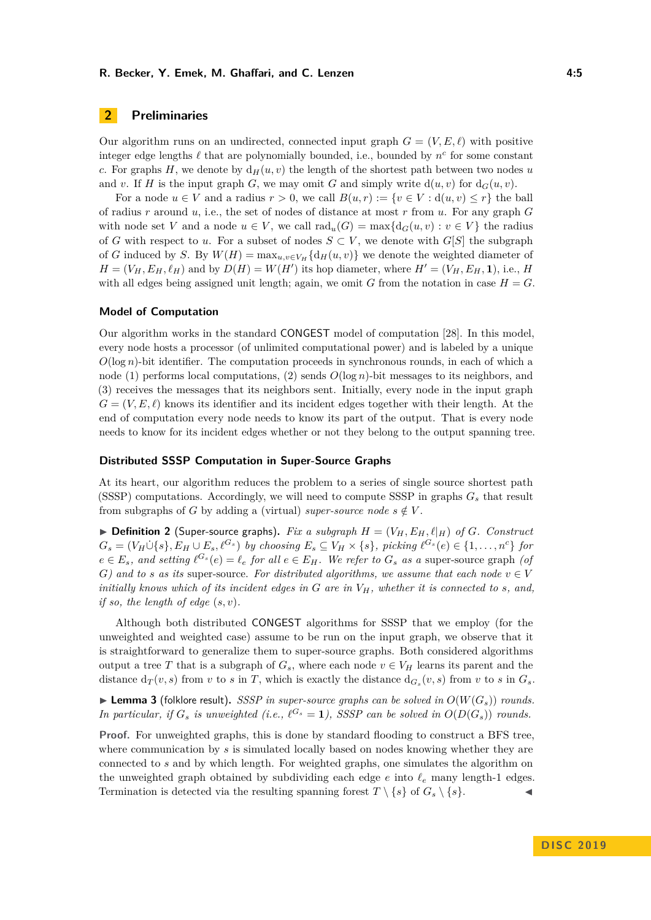#### **R. Becker, Y. Emek, M. Ghaffari, and C. Lenzen 4:5**

## <span id="page-4-1"></span>**2 Preliminaries**

Our algorithm runs on an undirected, connected input graph  $G = (V, E, \ell)$  with positive integer edge lengths  $\ell$  that are polynomially bounded, i.e., bounded by  $n^c$  for some constant *c*. For graphs *H*, we denote by  $d_H(u, v)$  the length of the shortest path between two nodes *u* and *v*. If *H* is the input graph *G*, we may omit *G* and simply write  $d(u, v)$  for  $d_G(u, v)$ .

For a node  $u \in V$  and a radius  $r > 0$ , we call  $B(u, r) := \{v \in V : d(u, v) \leq r\}$  the ball of radius *r* around *u*, i.e., the set of nodes of distance at most *r* from *u*. For any graph *G* with node set *V* and a node  $u \in V$ , we call  $\text{rad}_u(G) = \max\{d_G(u, v) : v \in V\}$  the radius of *G* with respect to *u*. For a subset of nodes  $S \subset V$ , we denote with  $G[S]$  the subgraph of *G* induced by *S*. By  $W(H) = \max_{u,v \in V_H} \{d_H(u,v)\}$  we denote the weighted diameter of  $H = (V_H, E_H, \ell_H)$  and by  $D(H) = W(H')$  its hop diameter, where  $H' = (V_H, E_H, \mathbf{1})$ , i.e., *H* with all edges being assigned unit length; again, we omit *G* from the notation in case  $H = G$ .

#### **Model of Computation**

Our algorithm works in the standard CONGEST model of computation [\[28\]](#page-13-6). In this model, every node hosts a processor (of unlimited computational power) and is labeled by a unique *O*(log *n*)-bit identifier. The computation proceeds in synchronous rounds, in each of which a node (1) performs local computations, (2) sends *O*(log *n*)-bit messages to its neighbors, and (3) receives the messages that its neighbors sent. Initially, every node in the input graph  $G = (V, E, \ell)$  knows its identifier and its incident edges together with their length. At the end of computation every node needs to know its part of the output. That is every node needs to know for its incident edges whether or not they belong to the output spanning tree.

#### **Distributed SSSP Computation in Super-Source Graphs**

At its heart, our algorithm reduces the problem to a series of single source shortest path (SSSP) computations. Accordingly, we will need to compute SSSP in graphs *G<sup>s</sup>* that result from subgraphs of *G* by adding a (virtual) *super-source node*  $s \notin V$ .

<span id="page-4-0"></span> $\triangleright$  **Definition 2** (Super-source graphs). Fix a subgraph  $H = (V_H, E_H, \ell |_H)$  of *G*. Construct  $G_s = (V_H \dot{\cup} \{s\}, E_H \cup E_s, \ell^{G_s})$  by choosing  $E_s \subseteq V_H \times \{s\}$ , picking  $\ell^{G_s}(e) \in \{1, \ldots, n^c\}$  for  $e \in E_s$ , and setting  $\ell^{G_s}(e) = \ell_e$  for all  $e \in E_H$ . We refer to  $G_s$  as a super-source graph (of *G*) and to *s* as its super-source. For distributed algorithms, we assume that each node  $v \in V$ *initially knows which of its incident edges in G are in VH, whether it is connected to s, and, if so, the length of edge* (*s, v*)*.*

Although both distributed CONGEST algorithms for SSSP that we employ (for the unweighted and weighted case) assume to be run on the input graph, we observe that it is straightforward to generalize them to super-source graphs. Both considered algorithms output a tree *T* that is a subgraph of  $G_s$ , where each node  $v \in V_H$  learns its parent and the distance  $d_T(v, s)$  from *v* to *s* in *T*, which is exactly the distance  $d_{G_s}(v, s)$  from *v* to *s* in  $G_s$ .

<span id="page-4-3"></span> $\blacktriangleright$  **Lemma 3** (folklore result). *SSSP in super-source graphs can be solved in*  $O(W(G_s))$  *rounds. In particular, if*  $G_s$  *is unweighted (i.e.,*  $\ell^{G_s} = 1$ ), SSSP can be solved in  $O(D(G_s))$  rounds.

<span id="page-4-2"></span>**Proof.** For unweighted graphs, this is done by standard flooding to construct a BFS tree, where communication by *s* is simulated locally based on nodes knowing whether they are connected to *s* and by which length. For weighted graphs, one simulates the algorithm on the unweighted graph obtained by subdividing each edge  $e$  into  $\ell_e$  many length-1 edges. Termination is detected via the resulting spanning forest  $T \setminus \{s\}$  of  $G_s \setminus \{s\}$ .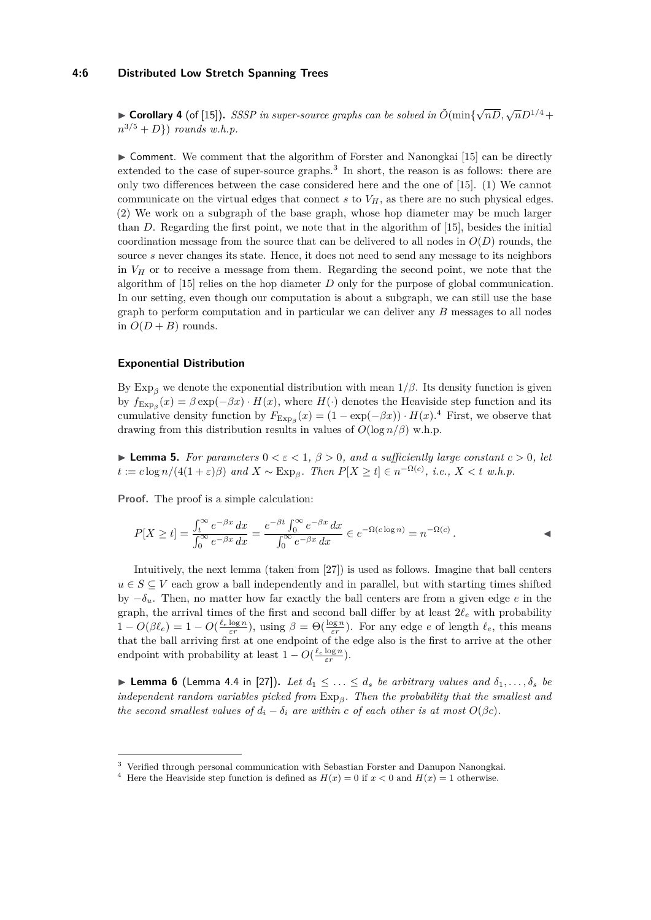#### **4:6 Distributed Low Stretch Spanning Trees**

► **Corollary 4** (of [\[15\]](#page-12-17)). *SSSP in super-source graphs can be solved in*  $\tilde{O}(\min{\{\sqrt{nD}, \sqrt{n}D^{1/4}+\}})$  $n^{3/5} + D$ }) *rounds w.h.p.* 

 $\triangleright$  Comment. We comment that the algorithm of Forster and Nanongkai [\[15\]](#page-12-17) can be directly extended to the case of super-source graphs.<sup>[3](#page-5-0)</sup> In short, the reason is as follows: there are only two differences between the case considered here and the one of [\[15\]](#page-12-17). (1) We cannot communicate on the virtual edges that connect  $s$  to  $V_H$ , as there are no such physical edges. (2) We work on a subgraph of the base graph, whose hop diameter may be much larger than *D*. Regarding the first point, we note that in the algorithm of [\[15\]](#page-12-17), besides the initial coordination message from the source that can be delivered to all nodes in  $O(D)$  rounds, the source *s* never changes its state. Hence, it does not need to send any message to its neighbors in  $V_H$  or to receive a message from them. Regarding the second point, we note that the algorithm of [\[15\]](#page-12-17) relies on the hop diameter *D* only for the purpose of global communication. In our setting, even though our computation is about a subgraph, we can still use the base graph to perform computation and in particular we can deliver any *B* messages to all nodes in  $O(D + B)$  rounds.

#### **Exponential Distribution**

By Exp<sub>β</sub> we denote the exponential distribution with mean  $1/β$ . Its density function is given by  $f_{\text{Exp}_\beta}(x) = \beta \exp(-\beta x) \cdot H(x)$ , where  $H(\cdot)$  denotes the Heaviside step function and its cumulative density function by  $F_{\text{Exp}_\beta}(x) = (1 - \exp(-\beta x)) \cdot H(x)$ .<sup>[4](#page-5-1)</sup> First, we observe that drawing from this distribution results in values of  $O(\log n/\beta)$  w.h.p.

<span id="page-5-2"></span>**Lemma 5.** For parameters  $0 < \varepsilon < 1$ ,  $\beta > 0$ , and a sufficiently large constant  $c > 0$ , let  $t := c \log n/(4(1+\varepsilon)\beta)$  and  $X \sim \text{Exp}_{\beta}$ . Then  $P[X \ge t] \in n^{-\Omega(c)}$ , i.e.,  $X < t$  w.h.p.

**Proof.** The proof is a simple calculation:

$$
P[X \ge t] = \frac{\int_t^{\infty} e^{-\beta x} dx}{\int_0^{\infty} e^{-\beta x} dx} = \frac{e^{-\beta t} \int_0^{\infty} e^{-\beta x} dx}{\int_0^{\infty} e^{-\beta x} dx} \in e^{-\Omega(c \log n)} = n^{-\Omega(c)}.
$$

Intuitively, the next lemma (taken from [\[27\]](#page-13-8)) is used as follows. Imagine that ball centers  $u \in S \subseteq V$  each grow a ball independently and in parallel, but with starting times shifted by  $-\delta_u$ . Then, no matter how far exactly the ball centers are from a given edge *e* in the graph, the arrival times of the first and second ball differ by at least  $2\ell_e$  with probability  $1 - O(\beta \ell_e) = 1 - O(\frac{\ell_e \log n}{\varepsilon r})$ , using  $\beta = \Theta(\frac{\log n}{\varepsilon r})$ . For any edge *e* of length  $\ell_e$ , this means that the ball arriving first at one endpoint of the edge also is the first to arrive at the other endpoint with probability at least  $1 - O(\frac{\ell_e \log n}{\varepsilon r})$ .

<span id="page-5-3"></span>**Example 6** (Lemma 4.4 in [\[27\]](#page-13-8)). Let  $d_1 \leq \ldots \leq d_s$  be arbitrary values and  $\delta_1, \ldots, \delta_s$  be *independent random variables picked from* Exp*<sup>β</sup> . Then the probability that the smallest and the second smallest values of*  $d_i - \delta_i$  *are within c of each other is at most*  $O(\beta c)$ *.* 

<span id="page-5-0"></span><sup>3</sup> Verified through personal communication with Sebastian Forster and Danupon Nanongkai.

<span id="page-5-1"></span><sup>&</sup>lt;sup>4</sup> Here the Heaviside step function is defined as  $H(x) = 0$  if  $x < 0$  and  $H(x) = 1$  otherwise.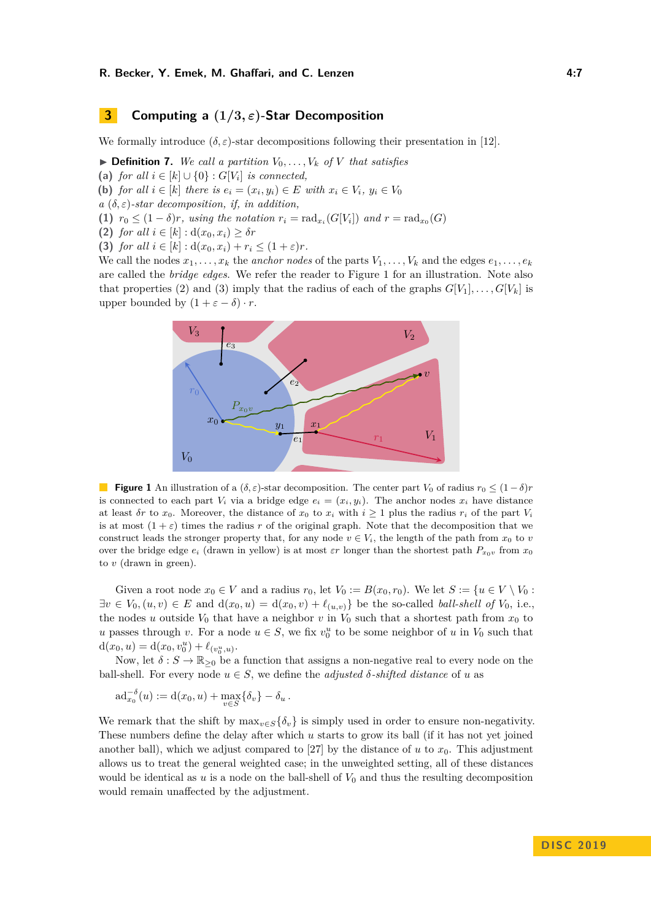## <span id="page-6-0"></span>**3 Computing a (1***/***3***, ε***)-Star Decomposition**

We formally introduce  $(\delta, \varepsilon)$ -star decompositions following their presentation in [\[12\]](#page-12-5).

<span id="page-6-2"></span> $\triangleright$  **Definition 7.** We call a partition  $V_0, \ldots, V_k$  of V that satisfies

- (a) *for all*  $i \in [k] \cup \{0\} : G[V_i]$  *is connected,*
- **(b)** *for all*  $i \in [k]$  *there is*  $e_i = (x_i, y_i) \in E$  *with*  $x_i \in V_i$ ,  $y_i \in V_0$
- $a(\delta, \varepsilon)$ -star decomposition, if, in addition,
- **(1)**  $r_0 \leq (1 \delta)r$ , using the notation  $r_i = \text{rad}_{x_i}(G[V_i])$  and  $r = \text{rad}_{x_0}(G)$
- **(2)** *for all*  $i \in [k] : d(x_0, x_i) \geq \delta r$
- **(3)** *for all*  $i \in [k] : d(x_0, x_i) + r_i \leq (1 + \varepsilon)r$ .

<span id="page-6-1"></span>We call the nodes  $x_1, \ldots, x_k$  the *anchor nodes* of the parts  $V_1, \ldots, V_k$  and the edges  $e_1, \ldots, e_k$ are called the *bridge edges*. We refer the reader to Figure [1](#page-6-1) for an illustration. Note also that properties (2) and (3) imply that the radius of each of the graphs  $G[V_1], \ldots, G[V_k]$  is upper bounded by  $(1 + \varepsilon - \delta) \cdot r$ .



**Figure 1** An illustration of a  $(\delta, \varepsilon)$ -star decomposition. The center part  $V_0$  of radius  $r_0 \leq (1 - \delta)r$ is connected to each part  $V_i$  via a bridge edge  $e_i = (x_i, y_i)$ . The anchor nodes  $x_i$  have distance at least *δr* to  $x_0$ . Moreover, the distance of  $x_0$  to  $x_i$  with  $i \ge 1$  plus the radius  $r_i$  of the part  $V_i$ is at most  $(1 + \varepsilon)$  times the radius *r* of the original graph. Note that the decomposition that we construct leads the stronger property that, for any node  $v \in V_i$ , the length of the path from  $x_0$  to  $v$ over the bridge edge  $e_i$  (drawn in yellow) is at most  $\varepsilon r$  longer than the shortest path  $P_{x_0v}$  from  $x_0$ to *v* (drawn in green).

Given a root node  $x_0 \in V$  and a radius  $r_0$ , let  $V_0 := B(x_0, r_0)$ . We let  $S := \{u \in V \setminus V_0 :$  $\exists v \in V_0$ ,  $(u, v) \in E$  and  $d(x_0, u) = d(x_0, v) + \ell_{(u, v)}$  be the so-called *ball-shell of*  $V_0$ , i.e., the nodes *u* outside  $V_0$  that have a neighbor *v* in  $V_0$  such that a shortest path from  $x_0$  to *u* passes through *v*. For a node  $u \in S$ , we fix  $v_0^u$  to be some neighbor of *u* in  $V_0$  such that  $d(x_0, u) = d(x_0, v_0^u) + \ell_{(v_0^u, u)}.$ 

Now, let  $\delta: S \to \mathbb{R}_{\geq 0}$  be a function that assigns a non-negative real to every node on the ball-shell. For every node  $u \in S$ , we define the *adjusted*  $\delta$ -*shifted distance* of *u* as

$$
\mathrm{ad}_{x_0}^{-\delta}(u) := \mathrm{d}(x_0, u) + \max_{v \in S} \{\delta_v\} - \delta_u.
$$

We remark that the shift by  $\max_{v \in S} {\{\delta_v\}}$  is simply used in order to ensure non-negativity. These numbers define the delay after which *u* starts to grow its ball (if it has not yet joined another ball), which we adjust compared to [\[27\]](#page-13-8) by the distance of  $u$  to  $x<sub>0</sub>$ . This adjustment allows us to treat the general weighted case; in the unweighted setting, all of these distances would be identical as  $u$  is a node on the ball-shell of  $V_0$  and thus the resulting decomposition would remain unaffected by the adjustment.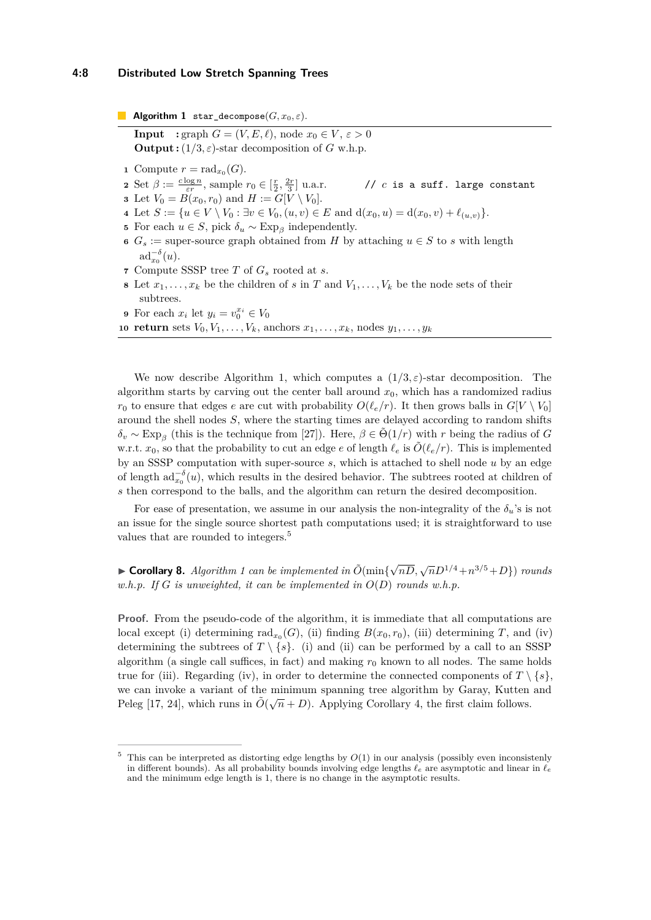#### **4:8 Distributed Low Stretch Spanning Trees**

**Algorithm 1** star decompose( $G, x_0, \varepsilon$ ).

<span id="page-7-0"></span>**Input** : graph  $G = (V, E, \ell)$ , node  $x_0 \in V, \varepsilon > 0$ **Output :**  $(1/3, \varepsilon)$ -star decomposition of *G* w.h.p.

- **1** Compute  $r = \text{rad}_{x_0}(G)$ .
- **2** Set  $\beta := \frac{c \log n}{\varepsilon r}$ , sample  $r_0 \in [\frac{r}{2}, \frac{2r}{3}]$
- **3** Let  $V_0 = B(x_0, r_0)$  and  $H := G[V \setminus V_0].$
- **4** Let *S* := {*u* ∈ *V* \ *V*<sub>0</sub> : ∃*v* ∈ *V*<sub>0</sub>*,*(*u, v*) ∈ *E* and  $d(x_0, u) = d(x_0, v) + l_{(u, v)}$ }.
- <span id="page-7-2"></span>**5** For each  $u \in S$ , pick  $\delta_u \sim \text{Exp}_{\beta}$  independently.
- **6**  $G_s :=$  super-source graph obtained from *H* by attaching  $u \in S$  to *s* with length  $ad_{x_0}^{-\delta}(u)$ .

 $// c is a suff. large constant$ 

- **<sup>7</sup>** Compute SSSP tree *T* of *G<sup>s</sup>* rooted at *s*.
- <span id="page-7-3"></span>**8** Let  $x_1, \ldots, x_k$  be the children of *s* in *T* and  $V_1, \ldots, V_k$  be the node sets of their subtrees.
- **9** For each  $x_i$  let  $y_i = v_0^{x_i} \in V_0$

10 **return** sets  $V_0, V_1, \ldots, V_k$ , anchors  $x_1, \ldots, x_k$ , nodes  $y_1, \ldots, y_k$ 

We now describe Algorithm [1,](#page-7-0) which computes a  $(1/3,\varepsilon)$ -star decomposition. The algorithm starts by carving out the center ball around  $x<sub>0</sub>$ , which has a randomized radius  $r_0$  to ensure that edges *e* are cut with probability  $O(\ell_e/r)$ . It then grows balls in  $G[V \setminus V_0]$ around the shell nodes *S*, where the starting times are delayed according to random shifts  $\delta_v \sim \text{Exp}_{\beta}$  (this is the technique from [\[27\]](#page-13-8)). Here,  $\beta \in \tilde{\Theta}(1/r)$  with *r* being the radius of *G* w.r.t.  $x_0$ , so that the probability to cut an edge *e* of length  $\ell_e$  is  $\tilde{O}(\ell_e/r)$ . This is implemented by an SSSP computation with super-source *s*, which is attached to shell node *u* by an edge of length  $\text{ad}_{x_0}^{-\delta}(u)$ , which results in the desired behavior. The subtrees rooted at children of *s* then correspond to the balls, and the algorithm can return the desired decomposition.

For ease of presentation, we assume in our analysis the non-integrality of the  $\delta_u$ 's is not an issue for the single source shortest path computations used; it is straightforward to use values that are rounded to integers.[5](#page-7-1)

<span id="page-7-4"></span>► **Corollary 8.** *Algorithm [1](#page-7-0) can be implemented in*  $\tilde{O}(\min{\{\sqrt{nD}, \sqrt{n}D^{1/4} + n^{3/5} + D\}})$  *rounds w.h.p. If G is unweighted, it can be implemented in O*(*D*) *rounds w.h.p.*

**Proof.** From the pseudo-code of the algorithm, it is immediate that all computations are local except (i) determining  $\text{rad}_{x_0}(G)$ , (ii) finding  $B(x_0, r_0)$ , (iii) determining *T*, and (iv) determining the subtrees of  $T \setminus \{s\}$ . (i) and (ii) can be performed by a call to an SSSP algorithm (a single call suffices, in fact) and making  $r_0$  known to all nodes. The same holds true for (iii). Regarding (iv), in order to determine the connected components of  $T \setminus \{s\}$ , we can invoke a variant of the minimum spanning tree algorithm by Garay, Kutten and  $\mathbb{P}$ eleg [\[17,](#page-12-18) [24\]](#page-13-9), which runs in  $\tilde{O}(\sqrt{n}+D)$ . Applying Corollary [4,](#page-4-2) the first claim follows.

<span id="page-7-1"></span> $5$  This can be interpreted as distorting edge lengths by  $O(1)$  in our analysis (possibly even inconsistenly in different bounds). As all probability bounds involving edge lengths  $\ell_e$  are asymptotic and linear in  $\ell_e$ and the minimum edge length is 1, there is no change in the asymptotic results.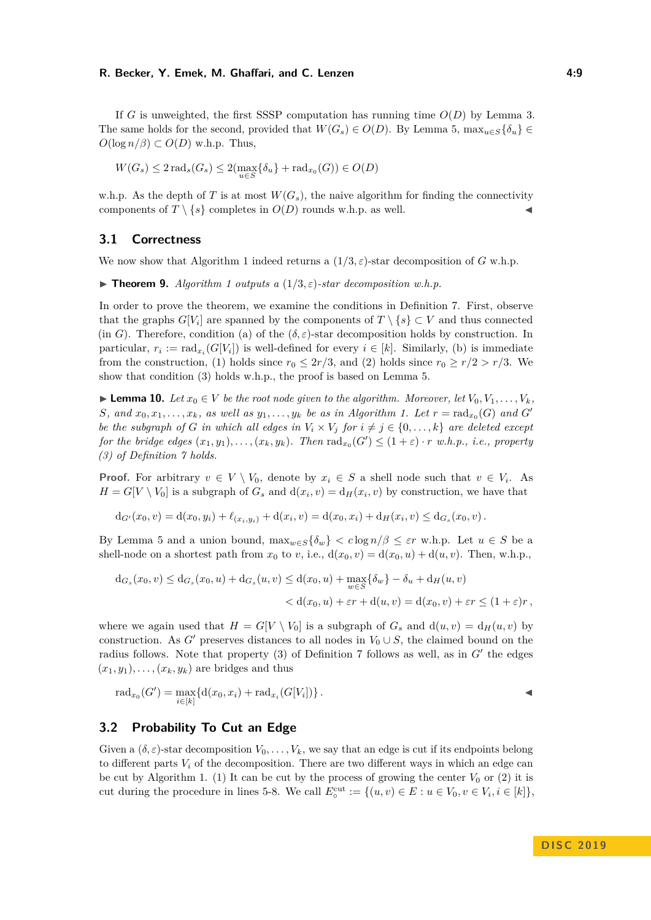#### **R. Becker, Y. Emek, M. Ghaffari, and C. Lenzen 4:9**

If *G* is unweighted, the first SSSP computation has running time  $O(D)$  by Lemma [3.](#page-4-3) The same holds for the second, provided that  $W(G_s) \in O(D)$ . By Lemma [5,](#page-5-2)  $\max_{u \in S} {\delta_u} \in$  $O(\log n/\beta) \subset O(D)$  w.h.p. Thus,

$$
W(G_s) \le 2\operatorname{rad}_s(G_s) \le 2(\max_{u \in S} \{\delta_u\} + \operatorname{rad}_{x_0}(G)) \in O(D)
$$

w.h.p. As the depth of *T* is at most  $W(G_s)$ , the naive algorithm for finding the connectivity components of  $T \setminus \{s\}$  completes in  $O(D)$  rounds w.h.p. as well.

## **3.1 Correctness**

We now show that Algorithm [1](#page-7-0) indeed returns a  $(1/3, \varepsilon)$ -star decomposition of *G* w.h.p.

<span id="page-8-1"></span>**Findmen 9.** *Algorithm [1](#page-7-0) outputs a*  $(1/3, \varepsilon)$ -star decomposition w.h.p.

In order to prove the theorem, we examine the conditions in Definition [7.](#page-6-2) First, observe that the graphs  $G[V_i]$  are spanned by the components of  $T \setminus \{s\} \subset V$  and thus connected (in *G*). Therefore, condition (a) of the  $(\delta, \varepsilon)$ -star decomposition holds by construction. In particular,  $r_i := \text{rad}_{x_i}(G[V_i])$  is well-defined for every  $i \in [k]$ . Similarly, (b) is immediate from the construction, (1) holds since  $r_0 \leq 2r/3$ , and (2) holds since  $r_0 \geq r/2 > r/3$ . We show that condition (3) holds w.h.p., the proof is based on Lemma [5.](#page-5-2)

<span id="page-8-2"></span>► **Lemma 10.** *Let*  $x_0 \in V$  *be the root node given to the algorithm. Moreover, let*  $V_0, V_1, \ldots, V_k$ *,* S, and  $x_0, x_1, \ldots, x_k$ , as well as  $y_1, \ldots, y_k$  be as in Algorithm [1.](#page-7-0) Let  $r = \text{rad}_{x_0}(G)$  and  $G'$ *be the subgraph of G in which all edges in*  $V_i \times V_j$  *for*  $i \neq j \in \{0, \ldots, k\}$  *are deleted except for the bridge edges*  $(x_1, y_1), \ldots, (x_k, y_k)$ . Then  $\text{rad}_{x_0}(G') \leq (1 + \varepsilon) \cdot r$  w.h.p., *i.e.*, property *(3) of Definition [7](#page-6-2) holds.*

**Proof.** For arbitrary  $v \in V \setminus V_0$ , denote by  $x_i \in S$  a shell node such that  $v \in V_i$ . As  $H = G[V \setminus V_0]$  is a subgraph of  $G_s$  and  $d(x_i, v) = d_H(x_i, v)$  by construction, we have that

$$
d_{G'}(x_0, v) = d(x_0, y_i) + \ell_{(x_i, y_i)} + d(x_i, v) = d(x_0, x_i) + d_H(x_i, v) \leq d_{G_s}(x_0, v).
$$

By Lemma [5](#page-5-2) and a union bound,  $\max_{w \in S} {\{\delta_w\}} < c \log n/\beta \leq \varepsilon r \text{ w.h.p.}$  Let  $u \in S$  be a shell-node on a shortest path from  $x_0$  to  $v$ , i.e.,  $d(x_0, v) = d(x_0, u) + d(u, v)$ . Then, w.h.p.,

$$
d_{G_s}(x_0, v) \le d_{G_s}(x_0, u) + d_{G_s}(u, v) \le d(x_0, u) + \max_{w \in S} \{ \delta_w \} - \delta_u + d_H(u, v) < d(x_0, u) + \varepsilon r + d(u, v) = d(x_0, v) + \varepsilon r \le (1 + \varepsilon)r,
$$

where we again used that  $H = G[V \setminus V_0]$  is a subgraph of  $G_s$  and  $d(u, v) = d_H(u, v)$  by construction. As *G*<sup> $\prime$ </sup> preserves distances to all nodes in  $V_0 \cup S$ , the claimed bound on the radius follows. Note that property  $(3)$  of Definition [7](#page-6-2) follows as well, as in  $G'$  the edges  $(x_1, y_1), \ldots, (x_k, y_k)$  are bridges and thus

$$
rad_{x_0}(G') = \max_{i \in [k]} \{d(x_0, x_i) + rad_{x_i}(G[V_i])\}.
$$

## <span id="page-8-0"></span>**3.2 Probability To Cut an Edge**

Given a  $(\delta, \varepsilon)$ -star decomposition  $V_0, \ldots, V_k$ , we say that an edge is cut if its endpoints belong to different parts  $V_i$  of the decomposition. There are two different ways in which an edge can be cut by Algorithm [1.](#page-7-0) (1) It can be cut by the process of growing the center  $V_0$  or (2) it is cut during the procedure in lines [5-](#page-7-2)[8.](#page-7-3) We call  $E_{\circ}^{\text{cut}} := \{(u, v) \in E : u \in V_0, v \in V_i, i \in [k]\},\$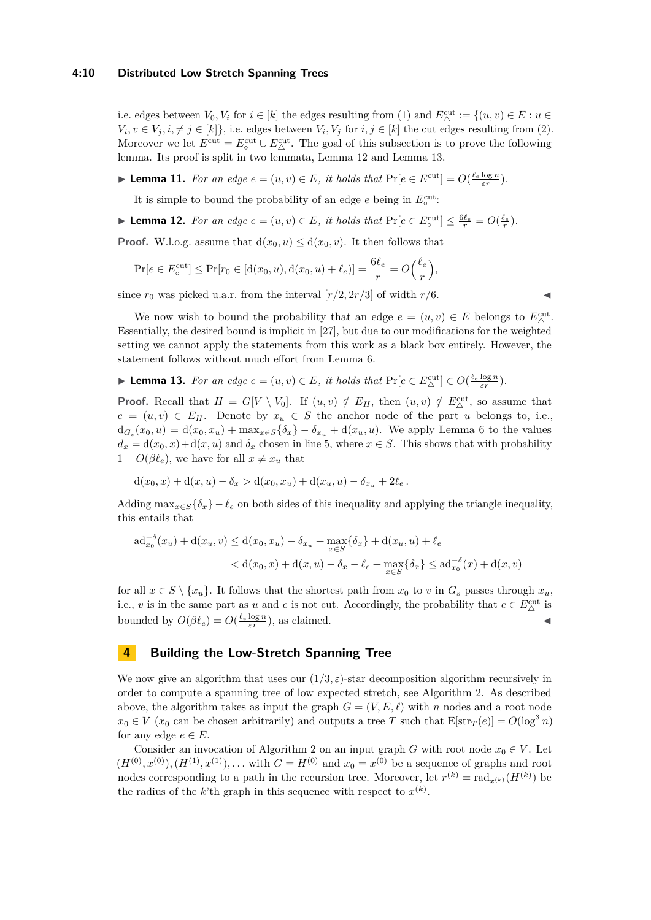#### **4:10 Distributed Low Stretch Spanning Trees**

i.e. edges between  $V_0, V_i$  for  $i \in [k]$  the edges resulting from (1) and  $E^{\text{cut}}_{\Delta} := \{(u, v) \in E : u \in$  $V_i, v \in V_j, i, \neq j \in [k]$ , i.e. edges between  $V_i, V_j$  for  $i, j \in [k]$  the cut edges resulting from (2). Moreover we let  $E^{\text{cut}} = E^{\text{cut}}_{\text{o}} \cup E^{\text{cut}}_{\text{A}}$ . The goal of this subsection is to prove the following lemma. Its proof is split in two lemmata, Lemma [12](#page-9-1) and Lemma [13.](#page-9-2)

<span id="page-9-4"></span>► **Lemma 11.** *For an edge*  $e = (u, v) \in E$ *, it holds that*  $\Pr[e \in E^{\text{cut}}] = O(\frac{\ell_e \log n}{\varepsilon r})$ *.* 

It is simple to bound the probability of an edge  $e$  being in  $E_{\circ}^{\text{cut}}$ .

<span id="page-9-1"></span>▶ **Lemma 12.** *For an edge*  $e = (u, v) \in E$ *, it holds that*  $\Pr[e \in E^{\text{cut}}_{\circ}] \leq \frac{6\ell_e}{r} = O(\frac{\ell_e}{r})$ *.* 

**Proof.** W.l.o.g. assume that  $d(x_0, u) \leq d(x_0, v)$ . It then follows that

$$
\Pr[e \in E_0^{\text{cut}}] \le \Pr[r_0 \in [d(x_0, u), d(x_0, u) + \ell_e)] = \frac{6\ell_e}{r} = O\left(\frac{\ell_e}{r}\right),
$$

since  $r_0$  was picked u.a.r. from the interval  $[r/2, 2r/3]$  of width  $r/6$ .

We now wish to bound the probability that an edge  $e = (u, v) \in E$  belongs to  $E^{\text{cut}}_{\Delta}$ . Essentially, the desired bound is implicit in [\[27\]](#page-13-8), but due to our modifications for the weighted setting we cannot apply the statements from this work as a black box entirely. However, the statement follows without much effort from Lemma [6.](#page-5-3)

<span id="page-9-2"></span>
$$
\blacktriangleright \textbf{Lemma 13.} For an edge  $e = (u, v) \in E$ , it holds that  $\Pr[e \in E_{\Delta}^{\text{cut}}] \in O(\frac{\ell_e \log n}{\varepsilon r}).$
$$

**Proof.** Recall that  $H = G[V \setminus V_0]$ . If  $(u, v) \notin E_H$ , then  $(u, v) \notin E_{\Delta}^{\text{cut}}$ , so assume that  $e = (u, v) \in E_H$ . Denote by  $x_u \in S$  the anchor node of the part *u* belongs to, i.e.,  $d_{G_s}(x_0, u) = d(x_0, x_u) + \max_{x \in S} {\{\delta_x\} - \delta_{x_u} + d(x_u, u)}$ . We apply Lemma [6](#page-5-3) to the values  $d_x = d(x_0, x) + d(x, u)$  and  $\delta_x$  chosen in line [5,](#page-7-2) where  $x \in S$ . This shows that with probability  $1 - O(\beta \ell_e)$ , we have for all  $x \neq x_u$  that

$$
d(x_0, x) + d(x, u) - \delta_x > d(x_0, x_u) + d(x_u, u) - \delta_{x_u} + 2\ell_e.
$$

Adding max<sub>*x*∈*S*</sub>{ $\delta$ <sub>*x*</sub>} −  $\ell$ <sup>*e*</sup> on both sides of this inequality and applying the triangle inequality, this entails that

$$
ad_{x_0}^{-\delta}(x_u) + d(x_u, v) \le d(x_0, x_u) - \delta_{x_u} + \max_{x \in S} {\delta_x} + d(x_u, u) + \ell_e
$$
  

$$
< d(x_0, x) + d(x, u) - \delta_x - \ell_e + \max_{x \in S} {\delta_x} \le ad_{x_0}^{-\delta}(x) + d(x, v)
$$

for all  $x \in S \setminus \{x_u\}$ . It follows that the shortest path from  $x_0$  to  $v$  in  $G_s$  passes through  $x_u$ , i.e., *v* is in the same part as *u* and *e* is not cut. Accordingly, the probability that  $e \in E^{\text{cut}}_{\Delta}$  is bounded by  $O(\beta \ell_e) = O(\frac{\ell_e \log n}{\varepsilon r})$ , as claimed.

## <span id="page-9-0"></span>**4 Building the Low-Stretch Spanning Tree**

We now give an algorithm that uses our  $(1/3, \varepsilon)$ -star decomposition algorithm recursively in order to compute a spanning tree of low expected stretch, see Algorithm [2.](#page-10-0) As described above, the algorithm takes as input the graph  $G = (V, E, \ell)$  with *n* nodes and a root node  $x_0 \in V$  (*x*<sub>0</sub> can be chosen arbitrarily) and outputs a tree *T* such that  $E[\text{str}_T(e)] = O(\log^3 n)$ for any edge  $e \in E$ .

<span id="page-9-3"></span>Consider an invocation of Algorithm [2](#page-10-0) on an input graph *G* with root node  $x_0 \in V$ . Let  $(H^{(0)}, x^{(0)}), (H^{(1)}, x^{(1)}), \ldots$  with  $G = H^{(0)}$  and  $x_0 = x^{(0)}$  be a sequence of graphs and root nodes corresponding to a path in the recursion tree. Moreover, let  $r^{(k)} = \text{rad}_{x^{(k)}}(H^{(k)})$  be the radius of the *k*'th graph in this sequence with respect to  $x^{(k)}$ .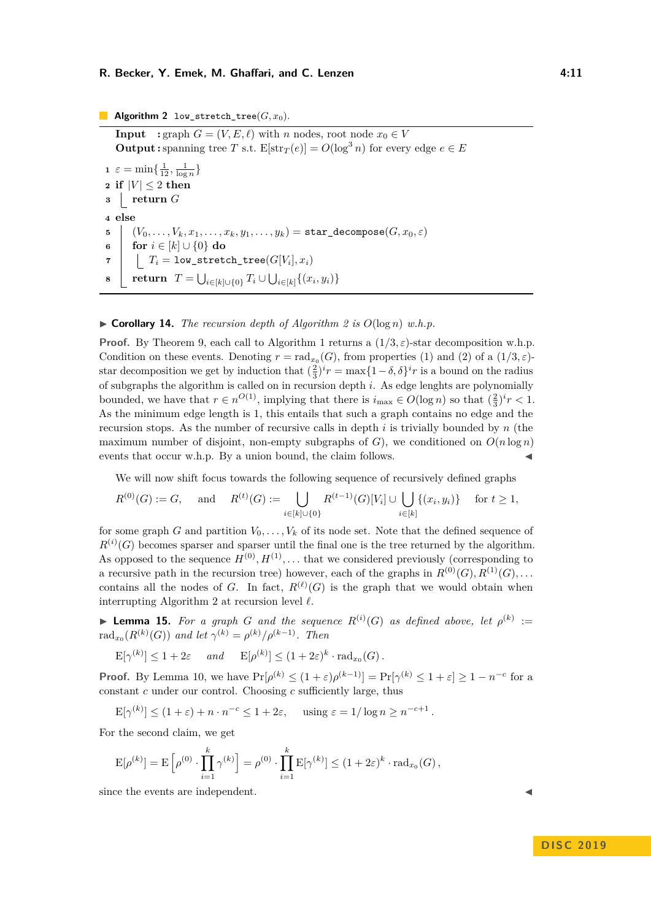#### **R. Becker, Y. Emek, M. Ghaffari, and C. Lenzen 4:11** 4:11

**Algorithm 2** low stretch tree( $G, x_0$ ).

<span id="page-10-0"></span>**Input** : graph  $G = (V, E, \ell)$  with *n* nodes, root node  $x_0 \in V$ **Output :** spanning tree *T* s.t.  $E[str_T(e)] = O(\log^3 n)$  for every edge  $e \in E$  $\mathbf{1} \varepsilon = \min\left\{\frac{1}{12}, \frac{1}{\log n}\right\}$ **2 if**  $|V| \leq 2$  **then <sup>3</sup> return** *G* **4 else 5**  $(V_0, \ldots, V_k, x_1, \ldots, x_k, y_1, \ldots, y_k) = \texttt{star\_decompose}(G, x_0, \varepsilon)$ **6 for**  $i \in [k] \cup \{0\}$  **do**  $\mathcal{T}$   $T_i = \mathtt{low\_stretch\_tree}(G[V_i], x_i)$  $\mathbf{s}$  **| return**  $T = \bigcup_{i \in [k] \cup \{0\}} T_i \cup \bigcup_{i \in [k]} \{(x_i, y_i)\}$ 

#### $\triangleright$  **Corollary 14.** *The recursion depth of Algorithm [2](#page-10-0) is*  $O(\log n)$  *w.h.p.*

**Proof.** By Theorem [9,](#page-8-1) each call to Algorithm [1](#page-7-0) returns a  $(1/3, \varepsilon)$ -star decomposition w.h.p. Condition on these events. Denoting  $r = \text{rad}_{x_0}(G)$ , from properties (1) and (2) of a  $(1/3, \varepsilon)$ star decomposition we get by induction that  $(\frac{2}{3})^i r = \max\{1-\delta, \delta\}^i r$  is a bound on the radius of subgraphs the algorithm is called on in recursion depth *i*. As edge lenghts are polynomially bounded, we have that  $r \in n^{O(1)}$ , implying that there is  $i_{\max} \in O(\log n)$  so that  $(\frac{2}{3})^i r < 1$ . As the minimum edge length is 1, this entails that such a graph contains no edge and the recursion stops. As the number of recursive calls in depth *i* is trivially bounded by *n* (the maximum number of disjoint, non-empty subgraphs of  $G$ ), we conditioned on  $O(n \log n)$ events that occur w.h.p. By a union bound, the claim follows.

We will now shift focus towards the following sequence of recursively defined graphs

$$
R^{(0)}(G) := G, \quad \text{ and } \quad R^{(t)}(G) := \bigcup_{i \in [k] \cup \{0\}} R^{(t-1)}(G)[V_i] \cup \bigcup_{i \in [k]} \{(x_i, y_i)\} \quad \text{ for } t \ge 1,
$$

for some graph *G* and partition  $V_0, \ldots, V_k$  of its node set. Note that the defined sequence of  $R^{(i)}(G)$  becomes sparser and sparser until the final one is the tree returned by the algorithm. As opposed to the sequence  $H^{(0)}, H^{(1)}, \ldots$  that we considered previously (corresponding to a recursive path in the recursion tree) however, each of the graphs in  $R^{(0)}(G), R^{(1)}(G), \ldots$ contains all the nodes of *G*. In fact,  $R^{(\ell)}(G)$  is the graph that we would obtain when interrupting Algorithm [2](#page-10-0) at recursion level  $\ell$ .

<span id="page-10-1"></span>**Lemma 15.** For a graph G and the sequence  $R^{(i)}(G)$  as defined above, let  $\rho^{(k)}$  :=  $\text{rad}_{x_0}(R^{(k)}(G))$  *and let*  $\gamma^{(k)} = \rho^{(k)}/\rho^{(k-1)}$ *. Then* 

$$
\mathbf{E}[\gamma^{(k)}] \le 1 + 2\varepsilon \quad \text{and} \quad \mathbf{E}[\rho^{(k)}] \le (1 + 2\varepsilon)^k \cdot \text{rad}_{x_0}(G).
$$

**Proof.** By Lemma [10,](#page-8-2) we have  $Pr[\rho^{(k)} \leq (1+\varepsilon)\rho^{(k-1)}] = Pr[\gamma^{(k)} \leq 1+\varepsilon] \geq 1-n^{-c}$  for a constant *c* under our control. Choosing *c* sufficiently large, thus

 $\mathbb{E}[\gamma^{(k)}] \leq (1+\varepsilon) + n \cdot n^{-c} \leq 1+2\varepsilon$ , using  $\varepsilon = 1/\log n \geq n^{-c+1}$ .

For the second claim, we get

$$
\mathrm{E}[\rho^{(k)}] = \mathrm{E}\left[\rho^{(0)} \cdot \prod_{i=1}^k \gamma^{(k)}\right] = \rho^{(0)} \cdot \prod_{i=1}^k \mathrm{E}[\gamma^{(k)}] \le (1+2\varepsilon)^k \cdot \mathrm{rad}_{x_0}(G),
$$

<span id="page-10-2"></span>since the events are independent.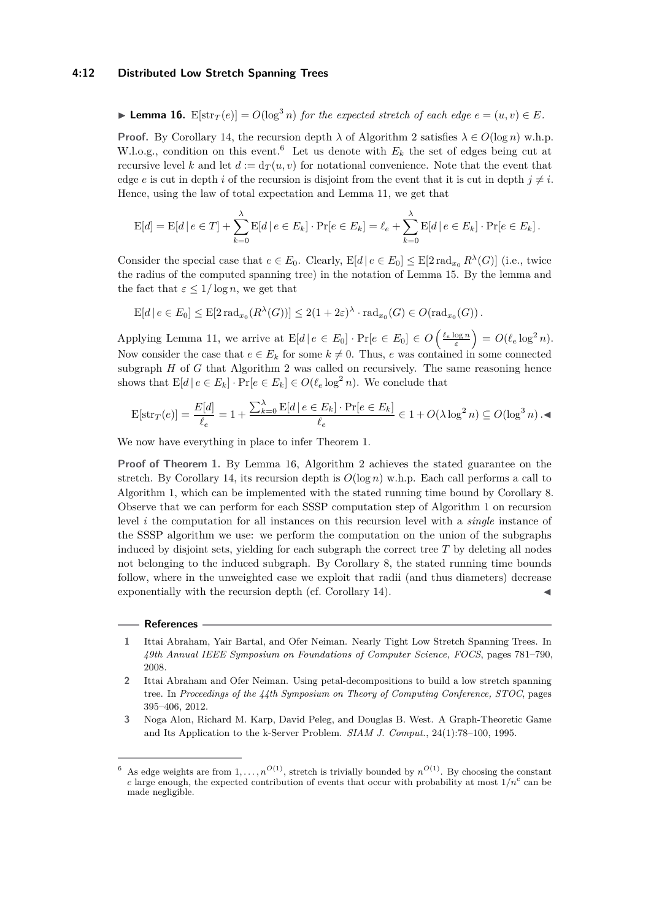#### **4:12 Distributed Low Stretch Spanning Trees**

▶ Lemma 16. E[str<sub>*T*</sub>(*e*)] =  $O(\log^3 n)$  *for the expected stretch of each edge*  $e = (u, v) \in E$ *.* 

**Proof.** By Corollary [14,](#page-9-3) the recursion depth  $\lambda$  of Algorithm [2](#page-10-0) satisfies  $\lambda \in O(\log n)$  w.h.p. W.l.o.g., condition on this event.<sup>[6](#page-11-3)</sup> Let us denote with  $E_k$  the set of edges being cut at recursive level *k* and let  $d := d_T(u, v)$  for notational convenience. Note that the event that edge *e* is cut in depth *i* of the recursion is disjoint from the event that it is cut in depth  $j \neq i$ . Hence, using the law of total expectation and Lemma [11,](#page-9-4) we get that

$$
E[d] = E[d | e \in T] + \sum_{k=0}^{\lambda} E[d | e \in E_k] \cdot Pr[e \in E_k] = \ell_e + \sum_{k=0}^{\lambda} E[d | e \in E_k] \cdot Pr[e \in E_k].
$$

Consider the special case that  $e \in E_0$ . Clearly,  $E[d | e \in E_0] \leq E[2 \text{ rad}_{x_0} R^{\lambda}(G)]$  (i.e., twice the radius of the computed spanning tree) in the notation of Lemma [15.](#page-10-1) By the lemma and the fact that  $\varepsilon \leq 1/\log n$ , we get that

$$
\mathrm{E}[d \,|\, e \in E_0] \leq \mathrm{E}[2\operatorname{rad}_{x_0}(R^{\lambda}(G))] \leq 2(1+2\varepsilon)^{\lambda} \cdot \operatorname{rad}_{x_0}(G) \in O(\operatorname{rad}_{x_0}(G)).
$$

Applying Lemma [11,](#page-9-4) we arrive at  $E[d | e \in E_0] \cdot Pr[e \in E_0] \in O\left(\frac{\ell_e \log n}{\varepsilon}\right) = O(\ell_e \log^2 n)$ . Now consider the case that  $e \in E_k$  for some  $k \neq 0$ . Thus, *e* was contained in some connected subgraph *H* of *G* that Algorithm [2](#page-10-0) was called on recursively. The same reasoning hence shows that  $E[d | e \in E_k] \cdot Pr[e \in E_k] \in O(\ell_e \log^2 n)$ . We conclude that

$$
\mathrm{E}[\mathrm{str}_T(e)] = \frac{E[d]}{\ell_e} = 1 + \frac{\sum_{k=0}^{\lambda} \mathrm{E}[d \mid e \in E_k] \cdot \Pr[e \in E_k]}{\ell_e} \in 1 + O(\lambda \log^2 n) \subseteq O(\log^3 n) . \blacktriangleleft
$$

We now have everything in place to infer Theorem [1.](#page-2-1)

**Proof of Theorem [1.](#page-2-1)** By Lemma [16,](#page-10-2) Algorithm [2](#page-10-0) achieves the stated guarantee on the stretch. By Corollary [14,](#page-9-3) its recursion depth is  $O(\log n)$  w.h.p. Each call performs a call to Algorithm [1,](#page-7-0) which can be implemented with the stated running time bound by Corollary [8.](#page-7-4) Observe that we can perform for each SSSP computation step of Algorithm [1](#page-7-0) on recursion level *i* the computation for all instances on this recursion level with a *single* instance of the SSSP algorithm we use: we perform the computation on the union of the subgraphs induced by disjoint sets, yielding for each subgraph the correct tree  $T$  by deleting all nodes not belonging to the induced subgraph. By Corollary [8,](#page-7-4) the stated running time bounds follow, where in the unweighted case we exploit that radii (and thus diameters) decrease exponentially with the recursion depth (cf. Corollary [14\)](#page-9-3).

#### **References**

<span id="page-11-1"></span>**1** Ittai Abraham, Yair Bartal, and Ofer Neiman. Nearly Tight Low Stretch Spanning Trees. In *49th Annual IEEE Symposium on Foundations of Computer Science, FOCS*, pages 781–790, 2008.

<span id="page-11-2"></span>**2** Ittai Abraham and Ofer Neiman. Using petal-decompositions to build a low stretch spanning tree. In *Proceedings of the 44th Symposium on Theory of Computing Conference, STOC*, pages 395–406, 2012.

<span id="page-11-0"></span>**3** Noga Alon, Richard M. Karp, David Peleg, and Douglas B. West. A Graph-Theoretic Game and Its Application to the k-Server Problem. *SIAM J. Comput.*, 24(1):78–100, 1995.

<span id="page-11-3"></span><sup>&</sup>lt;sup>6</sup> As edge weights are from  $1, \ldots, n^{O(1)}$ , stretch is trivially bounded by  $n^{O(1)}$ . By choosing the constant *c* large enough, the expected contribution of events that occur with probability at most  $1/n<sup>c</sup>$  can be made negligible.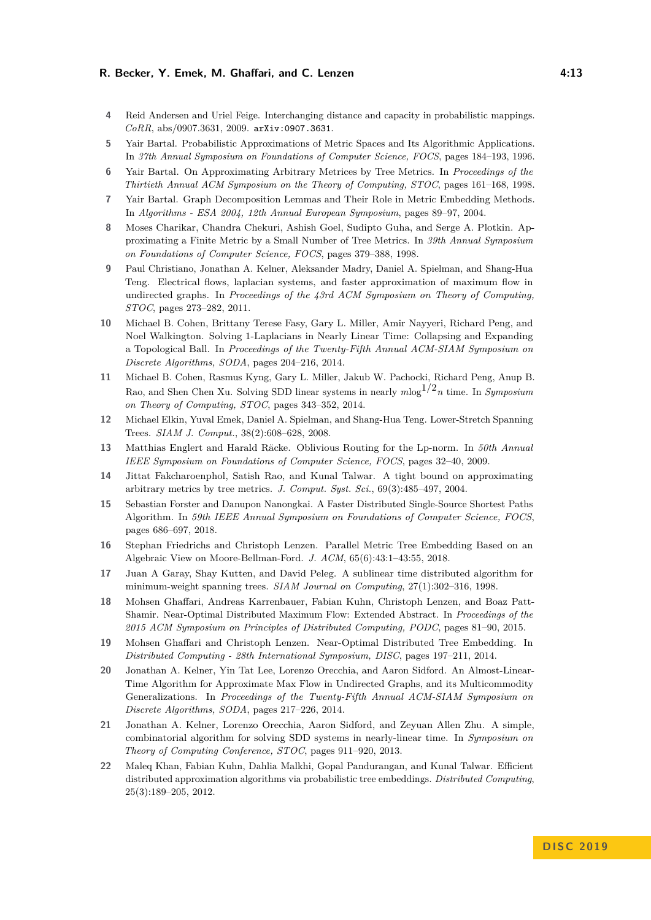#### **R. Becker, Y. Emek, M. Ghaffari, and C. Lenzen 4:13** 4:13

- <span id="page-12-7"></span>**4** Reid Andersen and Uriel Feige. Interchanging distance and capacity in probabilistic mappings. *CoRR*, abs/0907.3631, 2009. [arXiv:0907.3631](http://arxiv.org/abs/0907.3631).
- <span id="page-12-0"></span>**5** Yair Bartal. Probabilistic Approximations of Metric Spaces and Its Algorithmic Applications. In *37th Annual Symposium on Foundations of Computer Science, FOCS*, pages 184–193, 1996.
- <span id="page-12-1"></span>**6** Yair Bartal. On Approximating Arbitrary Metrices by Tree Metrics. In *Proceedings of the Thirtieth Annual ACM Symposium on the Theory of Computing, STOC*, pages 161–168, 1998.
- <span id="page-12-4"></span>**7** Yair Bartal. Graph Decomposition Lemmas and Their Role in Metric Embedding Methods. In *Algorithms - ESA 2004, 12th Annual European Symposium*, pages 89–97, 2004.
- <span id="page-12-2"></span>**8** Moses Charikar, Chandra Chekuri, Ashish Goel, Sudipto Guha, and Serge A. Plotkin. Approximating a Finite Metric by a Small Number of Tree Metrics. In *39th Annual Symposium on Foundations of Computer Science, FOCS*, pages 379–388, 1998.
- <span id="page-12-11"></span>**9** Paul Christiano, Jonathan A. Kelner, Aleksander Madry, Daniel A. Spielman, and Shang-Hua Teng. Electrical flows, laplacian systems, and faster approximation of maximum flow in undirected graphs. In *Proceedings of the 43rd ACM Symposium on Theory of Computing, STOC*, pages 273–282, 2011.
- <span id="page-12-9"></span>**10** Michael B. Cohen, Brittany Terese Fasy, Gary L. Miller, Amir Nayyeri, Richard Peng, and Noel Walkington. Solving 1-Laplacians in Nearly Linear Time: Collapsing and Expanding a Topological Ball. In *Proceedings of the Twenty-Fifth Annual ACM-SIAM Symposium on Discrete Algorithms, SODA*, pages 204–216, 2014.
- <span id="page-12-10"></span>**11** Michael B. Cohen, Rasmus Kyng, Gary L. Miller, Jakub W. Pachocki, Richard Peng, Anup B. Rao, and Shen Chen Xu. Solving SDD linear systems in nearly  $m \log^{1/2} n$  time. In *Symposium on Theory of Computing, STOC*, pages 343–352, 2014.
- <span id="page-12-5"></span>**12** Michael Elkin, Yuval Emek, Daniel A. Spielman, and Shang-Hua Teng. Lower-Stretch Spanning Trees. *SIAM J. Comput.*, 38(2):608–628, 2008.
- <span id="page-12-6"></span>**13** Matthias Englert and Harald Räcke. Oblivious Routing for the Lp-norm. In *50th Annual IEEE Symposium on Foundations of Computer Science, FOCS*, pages 32–40, 2009.
- <span id="page-12-3"></span>**14** Jittat Fakcharoenphol, Satish Rao, and Kunal Talwar. A tight bound on approximating arbitrary metrics by tree metrics. *J. Comput. Syst. Sci.*, 69(3):485–497, 2004.
- <span id="page-12-17"></span>**15** Sebastian Forster and Danupon Nanongkai. A Faster Distributed Single-Source Shortest Paths Algorithm. In *59th IEEE Annual Symposium on Foundations of Computer Science, FOCS*, pages 686–697, 2018.
- <span id="page-12-16"></span>**16** Stephan Friedrichs and Christoph Lenzen. Parallel Metric Tree Embedding Based on an Algebraic View on Moore-Bellman-Ford. *J. ACM*, 65(6):43:1–43:55, 2018.
- <span id="page-12-18"></span>**17** Juan A Garay, Shay Kutten, and David Peleg. A sublinear time distributed algorithm for minimum-weight spanning trees. *SIAM Journal on Computing*, 27(1):302–316, 1998.
- <span id="page-12-13"></span>**18** Mohsen Ghaffari, Andreas Karrenbauer, Fabian Kuhn, Christoph Lenzen, and Boaz Patt-Shamir. Near-Optimal Distributed Maximum Flow: Extended Abstract. In *Proceedings of the 2015 ACM Symposium on Principles of Distributed Computing, PODC*, pages 81–90, 2015.
- <span id="page-12-15"></span>**19** Mohsen Ghaffari and Christoph Lenzen. Near-Optimal Distributed Tree Embedding. In *Distributed Computing - 28th International Symposium, DISC*, pages 197–211, 2014.
- <span id="page-12-12"></span>**20** Jonathan A. Kelner, Yin Tat Lee, Lorenzo Orecchia, and Aaron Sidford. An Almost-Linear-Time Algorithm for Approximate Max Flow in Undirected Graphs, and its Multicommodity Generalizations. In *Proceedings of the Twenty-Fifth Annual ACM-SIAM Symposium on Discrete Algorithms, SODA*, pages 217–226, 2014.
- <span id="page-12-8"></span>**21** Jonathan A. Kelner, Lorenzo Orecchia, Aaron Sidford, and Zeyuan Allen Zhu. A simple, combinatorial algorithm for solving SDD systems in nearly-linear time. In *Symposium on Theory of Computing Conference, STOC*, pages 911–920, 2013.
- <span id="page-12-14"></span>**22** Maleq Khan, Fabian Kuhn, Dahlia Malkhi, Gopal Pandurangan, and Kunal Talwar. Efficient distributed approximation algorithms via probabilistic tree embeddings. *Distributed Computing*, 25(3):189–205, 2012.